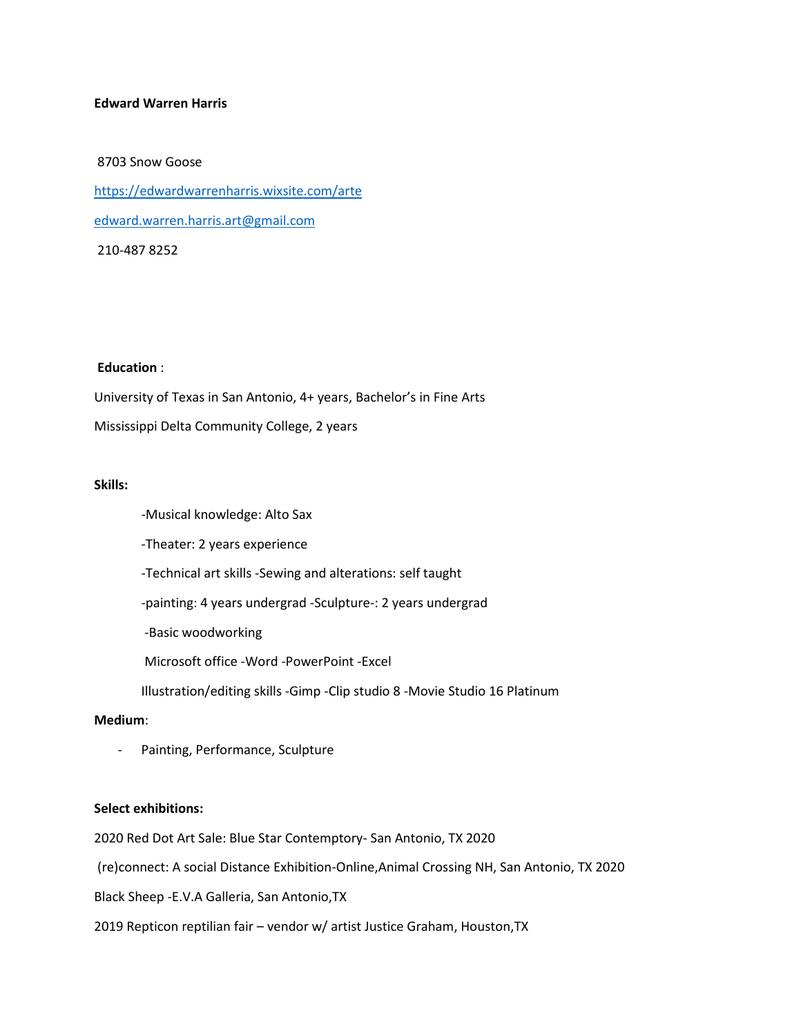#### **Edward Warren Harris**

# 8703 Snow Goose <https://edwardwarrenharris.wixsite.com/arte> [edward.warren.harris.art@gmail.com](mailto:edward.warren.harris.art@gmail.com) 210-487 8252

# **Education** :

University of Texas in San Antonio, 4+ years, Bachelor's in Fine Arts Mississippi Delta Community College, 2 years

# **Skills:**

- -Musical knowledge: Alto Sax
- -Theater: 2 years experience
- -Technical art skills -Sewing and alterations: self taught
- -painting: 4 years undergrad -Sculpture-: 2 years undergrad
- -Basic woodworking
- Microsoft office -Word -PowerPoint -Excel
- Illustration/editing skills -Gimp -Clip studio 8 -Movie Studio 16 Platinum

#### **Medium**:

Painting, Performance, Sculpture

# **Select exhibitions:**

2020 Red Dot Art Sale: Blue Star Contemptory- San Antonio, TX 2020

(re)connect: A social Distance Exhibition-Online,Animal Crossing NH, San Antonio, TX 2020

Black Sheep -E.V.A Galleria, San Antonio,TX

2019 Repticon reptilian fair – vendor w/ artist Justice Graham, Houston,TX